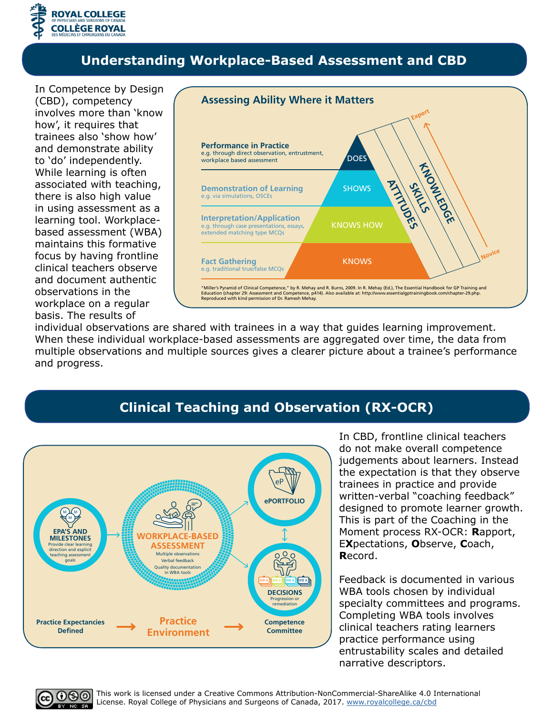

#### **Understanding Workplace-Based Assessment and CBD**

In Competence by Design (CBD), competency involves more than 'know how', it requires that trainees also 'show how' and demonstrate ability to 'do' independently. While learning is often associated with teaching, there is also high value in using assessment as a learning tool. Workplacebased assessment (WBA) maintains this formative focus by having frontline clinical teachers observe and document authentic observations in the workplace on a regular basis. The results of



individual observations are shared with trainees in a way that guides learning improvement. When these individual workplace-based assessments are aggregated over time, the data from multiple observations and multiple sources gives a clearer picture about a trainee's performance and progress.

## **Clinical Teaching and Observation (RX-OCR)**



In CBD, frontline clinical teachers do not make overall competence judgements about learners. Instead the expectation is that they observe trainees in practice and provide written-verbal "coaching feedback" designed to promote learner growth. This is part of the Coaching in the Moment process RX-OCR: **R**apport, E**X**pectations, **O**bserve, **C**oach, **R**ecord.

Feedback is documented in various WBA tools chosen by individual specialty committees and programs. Completing WBA tools involves clinical teachers rating learners practice performance using entrustability scales and detailed narrative descriptors.